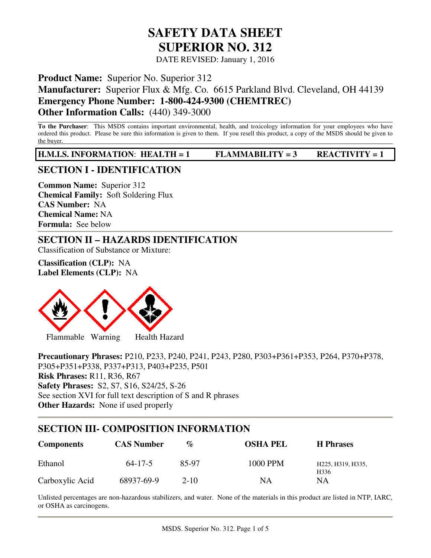# **SAFETY DATA SHEET SUPERIOR NO. 312**

DATE REVISED: January 1, 2016

**Product Name:** Superior No. Superior 312

**Manufacturer:** Superior Flux & Mfg. Co. 6615 Parkland Blvd. Cleveland, OH 44139

**Emergency Phone Number: 1-800-424-9300 (CHEMTREC)** 

**Other Information Calls:** (440) 349-3000

**To the Purchaser**: This MSDS contains important environmental, health, and toxicology information for your employees who have ordered this product. Please be sure this information is given to them. If you resell this product, a copy of the MSDS should be given to the buyer.

**H.M.I.S. INFORMATION**: **HEALTH = 1 FLAMMABILITY = 3 REACTIVITY = 1** 

# **SECTION I - IDENTIFICATION**

**Common Name:** Superior 312 **Chemical Family:** Soft Soldering Flux **CAS Number:** NA **Chemical Name:** NA **Formula:** See below

# **SECTION II – HAZARDS IDENTIFICATION**

Classification of Substance or Mixture:

**Classification (CLP):** NA **Label Elements (CLP):** NA



**Precautionary Phrases:** P210, P233, P240, P241, P243, P280, P303+P361+P353, P264, P370+P378, P305+P351+P338, P337+P313, P403+P235, P501 **Risk Phrases:** R11, R36, R67 **Safety Phrases:** S2, S7, S16, S24/25, S-26 See section XVI for full text description of S and R phrases **Other Hazards:** None if used properly

# **SECTION III- COMPOSITION INFORMATION**

| <b>Components</b> | <b>CAS Number</b> | $\mathcal{O}_\mathcal{D}$ | <b>OSHA PEL</b> | <b>H</b> Phrases                                                             |
|-------------------|-------------------|---------------------------|-----------------|------------------------------------------------------------------------------|
| Ethanol           | $64 - 17 - 5$     | 85-97                     | 1000 PPM        | H <sub>225</sub> , H <sub>319</sub> , H <sub>335</sub> ,<br>H <sub>336</sub> |
| Carboxylic Acid   | 68937-69-9        | $2 - 10$                  | ΝA              | NΑ                                                                           |

Unlisted percentages are non-hazardous stabilizers, and water. None of the materials in this product are listed in NTP, IARC, or OSHA as carcinogens.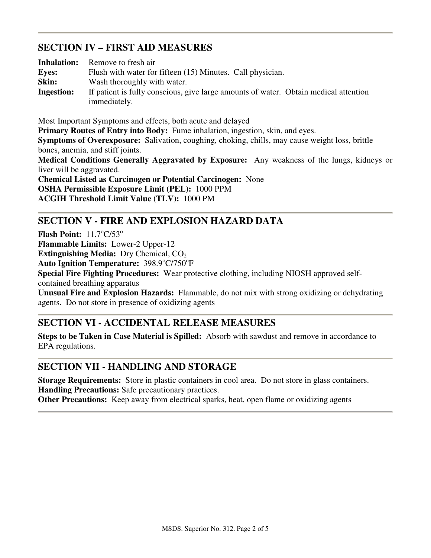# **SECTION IV – FIRST AID MEASURES**

| <b>Inhalation:</b> | Remove to fresh air                                                                  |
|--------------------|--------------------------------------------------------------------------------------|
| <b>Eves:</b>       | Flush with water for fifteen (15) Minutes. Call physician.                           |
| Skin:              | Wash thoroughly with water.                                                          |
| <b>Ingestion:</b>  | If patient is fully conscious, give large amounts of water. Obtain medical attention |
|                    | immediately.                                                                         |

Most Important Symptoms and effects, both acute and delayed **Primary Routes of Entry into Body:** Fume inhalation, ingestion, skin, and eyes. **Symptoms of Overexposure:** Salivation, coughing, choking, chills, may cause weight loss, brittle bones, anemia, and stiff joints. **Medical Conditions Generally Aggravated by Exposure:** Any weakness of the lungs, kidneys or liver will be aggravated. **Chemical Listed as Carcinogen or Potential Carcinogen:** None **OSHA Permissible Exposure Limit (PEL):** 1000 PPM **ACGIH Threshold Limit Value (TLV):** 1000 PM

# **SECTION V - FIRE AND EXPLOSION HAZARD DATA**

**Flash Point:** 11.7°C/53° **Flammable Limits:** Lower-2 Upper-12 **Extinguishing Media:** Dry Chemical, CO<sub>2</sub> Auto Ignition Temperature: 398.9°C/750°F **Special Fire Fighting Procedures:** Wear protective clothing, including NIOSH approved selfcontained breathing apparatus **Unusual Fire and Explosion Hazards:** Flammable, do not mix with strong oxidizing or dehydrating agents. Do not store in presence of oxidizing agents

# **SECTION VI - ACCIDENTAL RELEASE MEASURES**

**Steps to be Taken in Case Material is Spilled:** Absorb with sawdust and remove in accordance to EPA regulations.

### **SECTION VII - HANDLING AND STORAGE**

**Storage Requirements:** Store in plastic containers in cool area. Do not store in glass containers. **Handling Precautions:** Safe precautionary practices.

**Other Precautions:** Keep away from electrical sparks, heat, open flame or oxidizing agents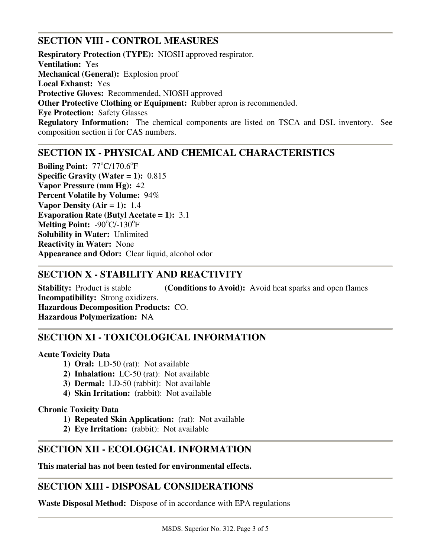# **SECTION VIII - CONTROL MEASURES**

**Respiratory Protection (TYPE):** NIOSH approved respirator. **Ventilation:** Yes **Mechanical (General):** Explosion proof **Local Exhaust:** Yes **Protective Gloves:** Recommended, NIOSH approved **Other Protective Clothing or Equipment:** Rubber apron is recommended. **Eye Protection:** Safety Glasses **Regulatory Information:** The chemical components are listed on TSCA and DSL inventory. See composition section ii for CAS numbers.

# **SECTION IX - PHYSICAL AND CHEMICAL CHARACTERISTICS**

Boiling Point: 77°C/170.6°F **Specific Gravity (Water = 1):** 0.815 **Vapor Pressure (mm Hg):** 42 **Percent Volatile by Volume:** 94% **Vapor Density (Air = 1):** 1.4 **Evaporation Rate (Butyl Acetate = 1):** 3.1 Melting Point: -90°C/-130°F **Solubility in Water:** Unlimited **Reactivity in Water:** None **Appearance and Odor:** Clear liquid, alcohol odor

# **SECTION X - STABILITY AND REACTIVITY**

**Stability:** Product is stable **(Conditions to Avoid):** Avoid heat sparks and open flames **Incompatibility:** Strong oxidizers. **Hazardous Decomposition Products:** CO. **Hazardous Polymerization:** NA

# **SECTION XI - TOXICOLOGICAL INFORMATION**

#### **Acute Toxicity Data**

- **1) Oral:** LD-50 (rat): Not available
- **2) Inhalation:** LC-50 (rat): Not available
- **3) Dermal:** LD-50 (rabbit): Not available
- **4) Skin Irritation:** (rabbit): Not available

#### **Chronic Toxicity Data**

- **1) Repeated Skin Application:** (rat): Not available
- **2) Eye Irritation:** (rabbit): Not available

### **SECTION XII - ECOLOGICAL INFORMATION**

**This material has not been tested for environmental effects.** 

### **SECTION XIII - DISPOSAL CONSIDERATIONS**

**Waste Disposal Method:** Dispose of in accordance with EPA regulations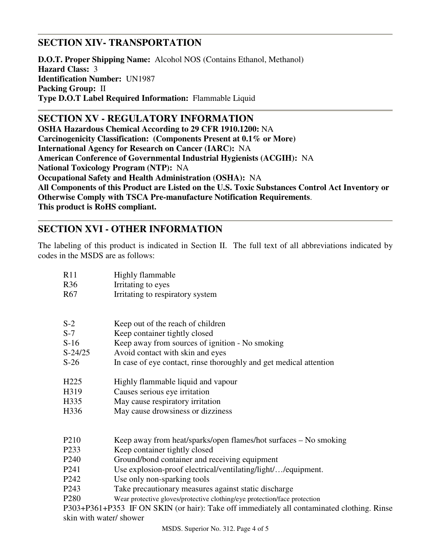# **SECTION XIV- TRANSPORTATION**

**D.O.T. Proper Shipping Name:** Alcohol NOS (Contains Ethanol, Methanol) **Hazard Class:** 3 **Identification Number:** UN1987 **Packing Group:** II **Type D.O.T Label Required Information:** Flammable Liquid

**SECTION XV - REGULATORY INFORMATION OSHA Hazardous Chemical According to 29 CFR 1910.1200:** NA **Carcinogenicity Classification: (Components Present at 0.1% or More) International Agency for Research on Cancer (IARC):** NA **American Conference of Governmental Industrial Hygienists (ACGIH):** NA **National Toxicology Program (NTP):** NA **Occupational Safety and Health Administration (OSHA):** NA **All Components of this Product are Listed on the U.S. Toxic Substances Control Act Inventory or Otherwise Comply with TSCA Pre-manufacture Notification Requirements**. **This product is RoHS compliant.**

# **SECTION XVI - OTHER INFORMATION**

The labeling of this product is indicated in Section II. The full text of all abbreviations indicated by codes in the MSDS are as follows:

| R11                                                                                        | Highly flammable                                                                              |  |  |  |
|--------------------------------------------------------------------------------------------|-----------------------------------------------------------------------------------------------|--|--|--|
| R <sub>36</sub>                                                                            | Irritating to eyes                                                                            |  |  |  |
| R <sub>67</sub>                                                                            | Irritating to respiratory system                                                              |  |  |  |
|                                                                                            |                                                                                               |  |  |  |
| $S-2$                                                                                      | Keep out of the reach of children                                                             |  |  |  |
| $S-7$                                                                                      | Keep container tightly closed                                                                 |  |  |  |
| $S-16$                                                                                     | Keep away from sources of ignition - No smoking                                               |  |  |  |
| $S-24/25$                                                                                  | Avoid contact with skin and eyes                                                              |  |  |  |
| $S-26$                                                                                     | In case of eye contact, rinse thoroughly and get medical attention                            |  |  |  |
| H <sub>225</sub>                                                                           | Highly flammable liquid and vapour                                                            |  |  |  |
| H319                                                                                       | Causes serious eye irritation                                                                 |  |  |  |
| H335                                                                                       | May cause respiratory irritation                                                              |  |  |  |
| H336                                                                                       | May cause drowsiness or dizziness                                                             |  |  |  |
| P <sub>210</sub>                                                                           |                                                                                               |  |  |  |
|                                                                                            | Keep away from heat/sparks/open flames/hot surfaces – No smoking                              |  |  |  |
| P <sub>2</sub> 33                                                                          | Keep container tightly closed                                                                 |  |  |  |
| P <sub>240</sub>                                                                           | Ground/bond container and receiving equipment                                                 |  |  |  |
| P <sub>241</sub>                                                                           | Use explosion-proof electrical/ventilating/light//equipment.                                  |  |  |  |
| P <sub>242</sub>                                                                           | Use only non-sparking tools                                                                   |  |  |  |
| P <sub>243</sub>                                                                           | Take precautionary measures against static discharge                                          |  |  |  |
|                                                                                            | P <sub>280</sub><br>Wear protective gloves/protective clothing/eye protection/face protection |  |  |  |
| P303+P361+P353 IF ON SKIN (or hair): Take off immediately all contaminated clothing. Rinse |                                                                                               |  |  |  |

skin with water/ shower